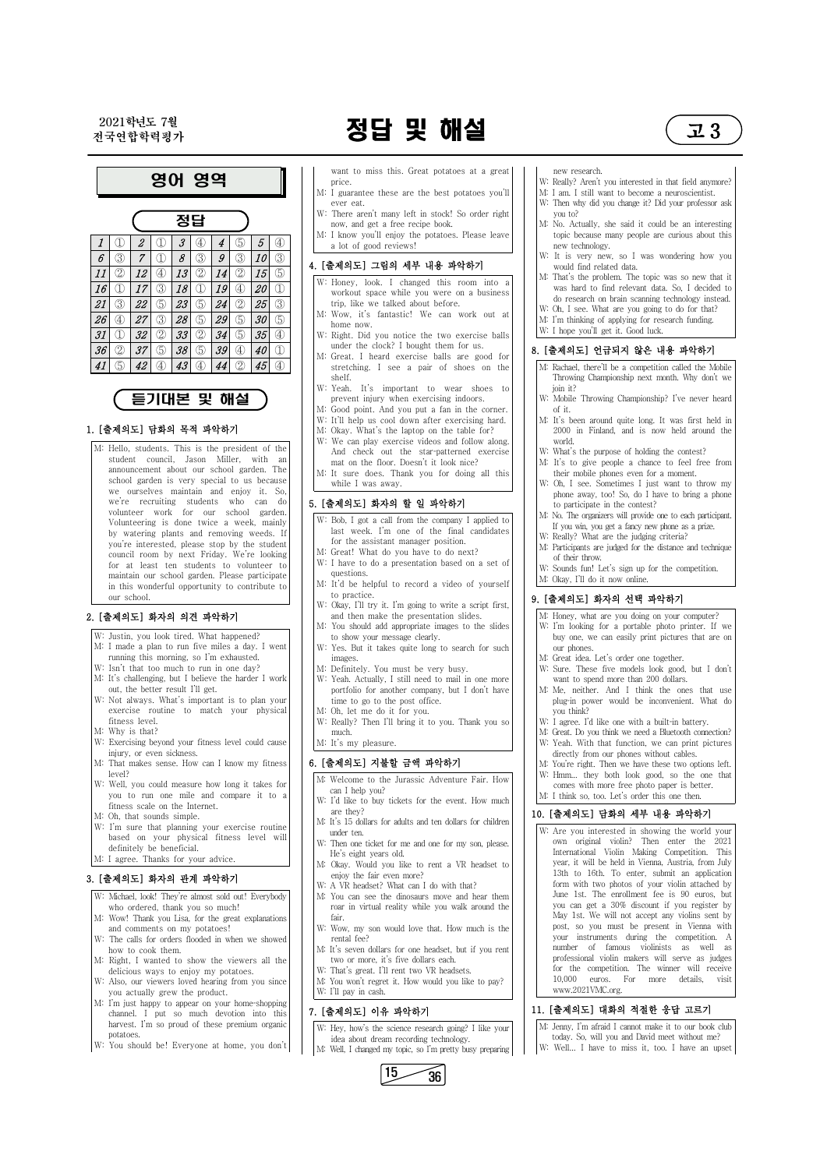# 전국연합학력평가 정답 및 해설 고 3



## 듣기대본 및 해설

#### 1. [출제의도] 담화의 목적 파악하기

M: Hello, students. This is the president of the student council, Jason Miller, with an announcement about our school garden. The school garden is very special to us because we ourselves maintain and enjoy it. So, we're recruiting students who can do volunteer work for our school garden. Volunteering is done twice a week, mainly by watering plants and removing weeds. If you're interested, please stop by the student council room by next Friday. We're looking for at least ten students to volunteer to maintain our school garden. Please participate in this wonderful opportunity to contribute to our school.

#### 2. [출제의도] 화자의 의견 파악하기

- W: Justin, you look tired. What happened?
- M: I made a plan to run five miles a day. I went running this morning, so I'm exhausted.
- W: Isn't that too much to run in one day?
- M: It's challenging, but I believe the harder I work out, the better result I'll get.
- W: Not always. What's important is to plan your exercise routine to match your physical fitness level.
- M: Why is that?
- W: Exercising beyond your fitness level could cause injury, or even sickness.
- M: That makes sense. How can I know my fitness level?
- W: Well, you could measure how long it takes for you to run one mile and compare it to a fitness scale on the Internet.
- M: Oh, that sounds simple.
- W: I'm sure that planning your exercise routine based on your physical fitness level will definitely be beneficial. M: I agree. Thanks for your advice.
- 3. [출제의도] 화자의 관계 파악하기

| W: Michael, look! They're almost sold out! Everybody | M                                    |
|------------------------------------------------------|--------------------------------------|
| who ordered, thank you so much!                      |                                      |
| M: Wow! Thank you Lisa, for the great explanations   |                                      |
| and comments on my potatoes!                         | W                                    |
| W: The calls for orders flooded in when we showed    |                                      |
| how to cook them.                                    | M                                    |
| M: Right, I wanted to show the viewers all the       |                                      |
|                                                      | W                                    |
| W: Also, our viewers loved hearing from you since    | M                                    |
| you actually grew the product.                       | W                                    |
| M: I'm just happy to appear on your home-shopping    |                                      |
| channel. I put so much devotion into this            | 7. I                                 |
| harvest. I'm so proud of these premium organic       | W                                    |
| potatoes.                                            |                                      |
| W: You should be! Everyone at home, you don't        | M                                    |
|                                                      | delicious ways to enjoy my potatoes. |

- want to miss this. Great potatoes at a great price.
- M: I guarantee these are the best potatoes you'll ever eat.
- W: There aren't many left in stock! So order right now, and get a free recipe book.
- M: I know you'll enjoy the potatoes. Please leave

#### 4. [출제의도] 그림의 세부 내용 파악하기

- W: Honey, look. I changed this room into a workout space while you were on a business
- M: Wow, it's fantastic! We can work out at home now.
- under the clock? I bought them for us.
- $\circledS$  | 42 |  $\circledA$  | 43 |  $\circledA$  | 44 |  $\circledS$  | 45 |  $\circledA$  | | | | stretching. I see a pair of shoes on the | | M: Great. I heard exercise balls are good for shelf.
	- W: Yeah. It's important to wear shoes to prevent injury when exercising indoors.
	- M: Good point. And you put a fan in the corner.
	- W: It'll help us cool down after exercising hard.
	- M: Okay. What's the laptop on the table for?
	- W: We can play exercise videos and follow along. And check out the star-patterned exercise mat on the floor. Doesn't it look nice?
	- M: It sure does. Thank you for doing all this while I was away.

### 5. [출제의도] 화자의 할 일 파악하기

- W: Bob, I got a call from the company I applied to last week. I'm one of the final candidates for the assistant manager position.
- M: Great! What do you have to do next?
- W: I have to do a presentation based on a set of questions.
- M: It'd be helpful to record a video of yourself to practice.
- W: Okay, I'll try it. I'm going to write a script first, and then make the presentation slides.
- M: You should add appropriate images to the slides to show your message clearly.
- W: Yes. But it takes quite long to search for such images.
- M: Definitely. You must be very busy.
- W: Yeah. Actually, I still need to mail in one more portfolio for another company, but I don't have time to go to the post office.
- M: Oh, let me do it for you.
- W: Really? Then I'll bring it to you. Thank you so much.
- M: It's my pleasure.

#### 6. [출제의도] 지불할 금액 파악하기

- M: Welcome to the Jurassic Adventure Fair. How can I help you?
- W: I'd like to buy tickets for the event. How much are they?
- M: It's 15 dollars for adults and ten dollars for children under ten.
- W: Then one ticket for me and one for my son, please. He's eight years old.
- M: Okay. Would you like to rent a VR headset to enjoy the fair even more?
- 

W: A VR headset? What can I do with that? M: You can see the dinosaurs move and hear them roar in virtual reality while you walk around the fair. W: Wow, my son would love that. How much is the rental fee? M: It's seven dollars for one headset, but if you rent two or more, it's five dollars each. W: That's great. I'll rent two VR headsets. M: You won't regret it. How would you like to pay?

W: I'll pay in cash.

#### 7. [출제의도] 이유 파악하기

W: Hey, how's the science research going? I like your idea about dream recording technology. M: Well, I changed my topic, so I'm pretty busy preparing

 $15 - 36$ 

#### new research.

W: Really? Aren't you interested in that field anymore?

- M: I am. I still want to become a neuroscientist.
- W: Then why did you change it? Did your professor ask you to?
- M: No. Actually, she said it could be an interesting topic because many people are curious about this new technology.
- W: It is very new, so I was wondering how you would find related data.
- M: That's the problem. The topic was so new that it was hard to find relevant data. So, I decided to do research on brain scanning technology instead.
- W: Oh, I see. What are you going to do for that?
- M: I'm thinking of applying for research funding.
- W: I hope you'll get it. Good luck.

### 8. [출제의도] 언급되지 않은 내용 파악하기

- M: Rachael, there'll be a competition called the Mobile Throwing Championship next month. Why don't we join it?
- W: Mobile Throwing Championship? I've never heard of it.
- M: It's been around quite long. It was first held in 2000 in Finland, and is now held around the world.
- W: What's the purpose of holding the contest?
- M: It's to give people a chance to feel free from their mobile phones even for a moment.
- W: Oh, I see. Sometimes I just want to throw my phone away, too! So, do I have to bring a phone to participate in the contest?
- M: No. The organizers will provide one to each participant. If you win, you get a fancy new phone as a prize.
- W: Really? What are the judging criteria?
- M: Participants are judged for the distance and technique of their throw.
- W: Sounds fun! Let's sign up for the competition. M: Okay, I'll do it now online.

### 9. [출제의도] 화자의 선택 파악하기

- M: Honey, what are you doing on your computer?
- W: I'm looking for a portable photo printer. If we buy one, we can easily print pictures that are on our phones.
- M: Great idea. Let's order one together.
- W: Sure. These five models look good, but I don't want to spend more than 200 dollars.
- M: Me, neither. And I think the ones that use plug-in power would be inconvenient. What do you think?
- W: I agree. I'd like one with a built-in battery.
- M: Great. Do you think we need a Bluetooth connection? W: Yeah. With that function, we can print pictures
- directly from our phones without cables. M: You're right. Then we have these two options left.
- W: Hmm... they both look good, so the one that comes with more free photo paper is better. M: I think so, too. Let's order this one then.

### 10. [출제의도] 담화의 세부 내용 파악하기

W: Are you interested in showing the world your own original violin? Then enter the 2021 International Violin Making Competition. This year, it will be held in Vienna, Austria, from July 13th to 16th. To enter, submit an application

form with two photos of your violin attached by June 1st. The enrollment fee is 90 euros, but you can get a 30% discount if you register by May 1st. We will not accept any violins sent by post, so you must be present in Vienna with your instruments during the competition. A number of famous violinists as well as professional violin makers will serve as judges for the competition. The winner will receive 10,000 euros. For more details, visit www.2021VMC.org.

## 11. [출제의도] 대화의 적절한 응답 고르기

M: Jenny, I'm afraid I cannot make it to our book club today. So, will you and David meet without me? W: Well... I have to miss it, too. I have an upset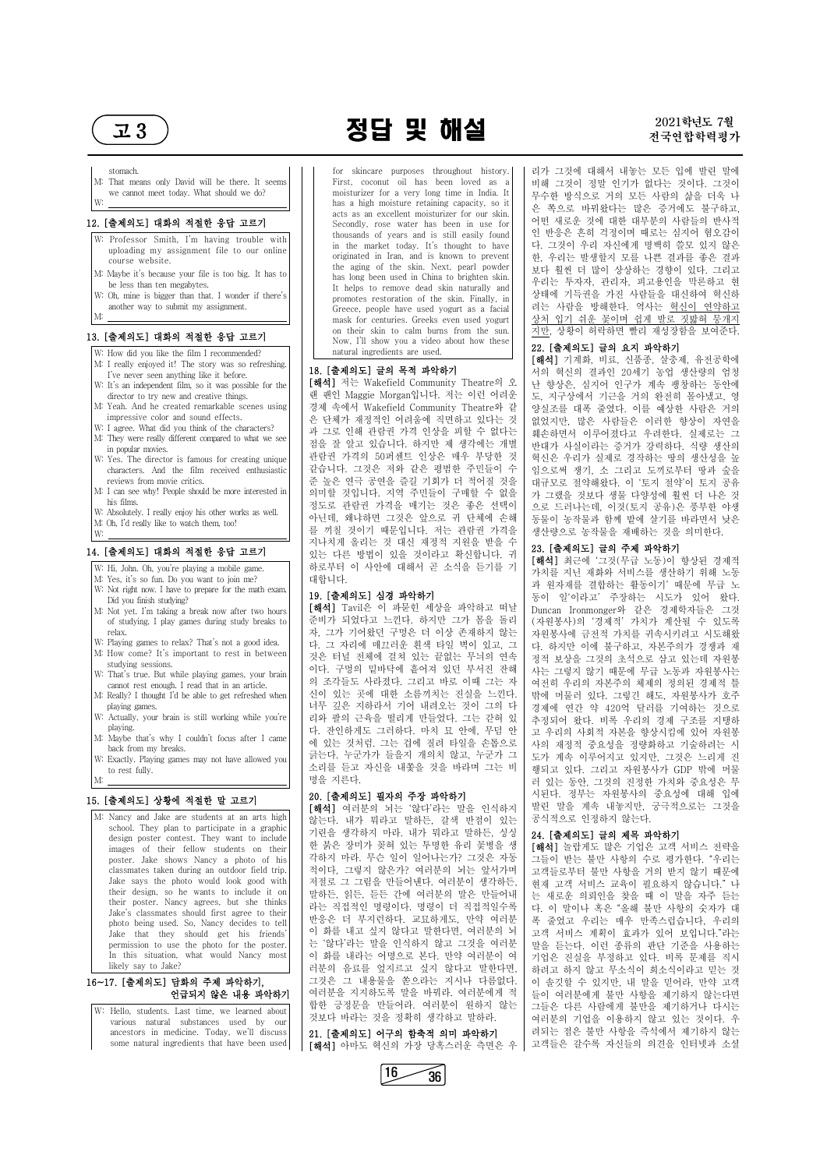## $\overline{2}$ 3 ) 2021학년도 2021학년도 7월



#### stomach.

M: That means only David will be there. It seems we cannot meet today. What should we do? W:

#### 12. [출제의도] 대화의 적절한 응답 고르기

- W: Professor Smith, I'm having trouble with uploading my assignment file to our online course website.
- M: Maybe it's because your file is too big. It has to be less than ten megabytes.
- W: Oh, mine is bigger than that. I wonder if there's another way to submit my assignment.

M:

#### 13. [출제의도] 대화의 적절한 응답 고르기

- W: How did you like the film I recommended?
- M: I really enjoyed it! The story was so refreshing. I've never seen anything like it before.
- W: It's an independent film, so it was possible for the director to try new and creative things.
- M: Yeah. And he created remarkable scenes using impressive color and sound effects.
- W: I agree. What did you think of the characters?
- M: They were really different compared to what we see in popular movies.
- W: Yes. The director is famous for creating unique characters. And the film received enthusiastic reviews from movie critics.
- M: I can see why! People should be more interested in his films.
- W: Absolutely. I really enjoy his other works as well.
- M: Oh, I'd really like to watch them, too! W:

#### 14. [출제의도] 대화의 적절한 응답 고르기

- W: Hi, John. Oh, you're playing a mobile game.
- M: Yes, it's so fun. Do you want to join me? W: Not right now. I have to prepare for the math exam. Did you finish studying?
- M: Not yet. I'm taking a break now after two hours of studying. I play games during study breaks to relax.
- W: Playing games to relax? That's not a good idea. M: How come? It's important to rest in between
- studying sessions. W: That's true. But while playing games, your brain
- cannot rest enough. I read that in an article.
- M: Really? I thought I'd be able to get refreshed when playing games.
- W: Actually, your brain is still working while you're playing.
- M: Maybe that's why I couldn't focus after I came back from my breaks.
- W: Exactly. Playing games may not have allowed you to rest fully. M:

#### 15. [출제의도] 상황에 적절한 말 고르기

[해석] 저는 Wakefield Community Theatre의 오 랜 팬인 Maggie Morgan입니다. 저는 이런 어려운 경제 속에서 Wakefield Community Theatre와 같 은 단체가 재정적인 어려움에 직면하고 있다는 것 과 그로 인해 관람권 가격 인상을 피할 수 없다는 점을 잘 알고 있습니다. 하지만 제 생각에는 개별 관람권 가격의 50퍼센트 인상은 매우 부당한 것 같습니다. 그것은 저와 같은 평범한 주민들이 수 준 높은 연극 공연을 즐길 기회가 더 적어질 것을 의미할 것입니다. 지역 주민들이 구매할 수 없을 정도로 관람권 가격을 매기는 것은 좋은 선택이 아닌데, 왜냐하면 그것은 앞으로 귀 단체에 손해 를 끼칠 것이기 때문입니다. 저는 관람권 가격을 지나치게 올리는 것 대신 재정적 지원을 받을 수 있는 다른 방법이 있을 것이라고 확신합니다. 귀 하로부터 이 사안에 대해서 곧 소식을 듣기를 기

## 대합니다.<br>19. [출제의도] 심경 파악하기

M: Nancy and Jake are students at an arts high school. They plan to participate in a graphic design poster contest. They want to include images of their fellow students on their poster. Jake shows Nancy a photo of his classmates taken during an outdoor field trip. Jake says the photo would look good with [해석] 여러분의 뇌는 '않다'라는 말을 인식하지 않는다. 내가 뭐라고 말하든, 갈색 반점이 있는 기린을 생각하지 마라. 내가 뭐라고 말하든, 싱싱 한 붉은 장미가 꽂혀 있는 투명한 유리 꽃병을 생 각하지 마라. 무슨 일이 일어나는가? 그것은 자동 적이다, 그렇지 않은가? 여러분의 뇌는 앞서가며 저적로 그 그림을 만들어내다. 여러분이 생각하든

has a high moisture retaining capacity, so it | | 은 쪽으로 바꿔왔다는 많은 증거에도 불구하고, 리가 그것에 대해서 내놓는 모든 입에 발린 말에 비해 그것이 정말 인기가 없다는 것이다. 그것이 무수한 방식으로 거의 모든 사람의 삶을 더욱 나 어떤 새로운 것에 대한 대부분의 사람들의 반사적 인 반응은 흔히 걱정이며 때로는 심지어 혐오감이 다. 그것이 우리 자신에게 명백히 쓸모 있지 않은 한, 우리는 발생할지 모를 나쁜 결과를 좋은 결과 보다 훨씬 더 많이 상상하는 경향이 있다. 그리고 우리는 투자자, 관리자, 피고용인을 막론하고 현 상태에 기득권을 가진 사람들을 대신하여 혁신하 려는 사람을 방해한다. 역사는 혁신이 연약하고 상처 입기 쉬운 꽃이며 쉽게 발로 짓밟혀 뭉개지 지만, 상황이 허락하면 빨리 재성장함을 보여준다.

for skincare purposes throughout history. First, coconut oil has been loved as a moisturizer for a very long time in India. It acts as an excellent moisturizer for our skin. Secondly, rose water has been in use for thousands of years and is still easily found in the market today. It's thought to have originated in Iran, and is known to prevent the aging of the skin. Next, pearl powder has long been used in China to brighten skin. It helps to remove dead skin naturally and promotes restoration of the skin. Finally, in Greece, people have used yogurt as a facial mask for centuries. Greeks even used yogurt on their skin to calm burns from the sun. Now, I'll show you a video about how these natural ingredients are used.

#### 18. [출제의도] 글의 목적 파악하기

[해석] Tavil은 이 파묻힌 세상을 파악하고 떠날 준비가 되었다고 느낀다. 하지만 그가 몸을 돌리 자, 그가 기어왔던 구멍은 더 이상 존재하지 않는 다. 그 자리에 매끄러운 흰색 타일 벽이 있고, 그 것은 터널 전체에 걸쳐 있는 끝없는 무늬의 연속 이다. 구멍의 밑바닥에 흩어져 있던 부서진 잔해 의 조각들도 사라졌다. 그리고 바로 이때 그는 자 신이 있는 곳에 대한 소름끼치는 진실을 느낀다.<br>너무 깊은 지하라서 기어 내려오는 것이 그의 다 리와 팔의 근육을 떨리게 만들었다. 그는 갇혀 있 다. 잔인하게도 그러하다. 마치 묘 안에, 무덤 안 에 있는 것처럼. 그는 겁에 질려 타일을 손톱으로 긁는다. 누군가가 들을지 개의치 않고, 누군가 그 소리를 듣고 자신을 내쫓을 것을 바라며 그는 비 명을 지른다.

#### 20. [출제의도] 필자의 주장 파악하기

| Jake says the photo would look good with<br>their design, so he wants to include it on<br>their poster. Nancy agrees, but she thinks<br>Jake's classmates should first agree to their<br>photo being used. So, Nancy decides to tell<br>Jake that they should get his friends'<br>permission to use the photo for the poster.<br>In this situation, what would Nancy most | 저설로 그 그럼을 만들어낸다. 여러문이 생각하는,<br>말하든, 읽든, 듣든 간에 여러분의 말은 만들어내<br>라는 직접적인 명령이다. 명령이 더 직접적일수록<br>반응은 더 부지런하다. 교묘하게도, 만약 여러분<br>이 화를 내고 싶지 않다고 말한다면, 여러분의 뇌<br>는 '않다'라는 말을 인식하지 않고 그것을 여러분<br>이 화를 내라는 어명으로 본다. 만약 여러분이 여 | 현재 고객 서비스 교육이 필요하지 않습니다."나<br>는 새로운 의뢰인을 찾을 때 이 말을 자주 듣는<br>다. 이 말이나 혹은 "올해 불만 사항의 숫자가 대<br>폭 줄었고 우리는 매우 만족스럽습니다, 우리의<br>고객 서비스 계획이 효과가 있어 보입니다."라는<br>말을 듣는다. 이런 종류의 판단 기준을 사용하는<br>기업은 진실을 부정하고 있다. 비록 문제를 직시 |
|---------------------------------------------------------------------------------------------------------------------------------------------------------------------------------------------------------------------------------------------------------------------------------------------------------------------------------------------------------------------------|---------------------------------------------------------------------------------------------------------------------------------------------------------------------------------------------------------------------|-----------------------------------------------------------------------------------------------------------------------------------------------------------------------------------------------------------------|
| likely say to Jake?                                                                                                                                                                                                                                                                                                                                                       | 러분의 음료를 엎지르고 싶지 않다고 말한다면,<br>그것은 그 내용물을 쏟으라는 지시나 다름없다.                                                                                                                                                              | 하려고 하지 않고 무소식이 희소식이라고 믿는 것                                                                                                                                                                                      |
| 16~17. [출제의도] 담화의 주제 파악하기,<br>언급되지 않은 내용 파악하기                                                                                                                                                                                                                                                                                                                             | 여러분을 지지하도록 말을 바꿔라. 여러분에게 적                                                                                                                                                                                          | 이 솔깃할 수 있지만, 내 말을 믿어라, 만약 고객<br>들이 여러분에게 불만 사항을 제기하지 않는다면                                                                                                                                                       |
| W: Hello, students. Last time, we learned about<br>various natural substances used by our<br>ancestors in medicine. Today, we'll discuss                                                                                                                                                                                                                                  | 합한 긍정문을 만들어라. 여러분이 원하지 않는<br>것보다 바라는 것을 정확히 생각하고 말하라.<br>21. [출제의도] 어구의 함축적 의미 파악하기                                                                                                                                 | 그들은 다른 사람에게 불만을 제기하거나 다시는<br>여러분의 기업을 이용하지 않고 있는 것이다. 우<br>려되는 점은 불만 사항을 즉석에서 제기하지 않는                                                                                                                           |
| some natural ingredients that have been used                                                                                                                                                                                                                                                                                                                              | [해석] 아마도 혁신의 가장 당혹스러운 측면은 우                                                                                                                                                                                         | 고객들은 갈수록 자신들의 의견을 인터넷과 소셜                                                                                                                                                                                       |

#### 22. [출제의도] 글의 요지 파악하기

[해석] 기계화, 비료, 신품종, 살충제, 유전공학에 서의 혁신의 결과인 20세기 농업 생산량의 엄청 난 향상은, 심지어 인구가 계속 팽창하는 동안에 도, 지구상에서 기근을 거의 완전히 몰아냈고, 영 양실조를 대폭 줄였다. 이를 예상한 사람은 거의 없었지만, 많은 사람들은 이러한 향상이 자연을 훼손하면서 이루어졌다고 우려한다. 실제로는 그 반대가 사실이라는 증거가 강력하다. 식량 생산의 혁신은 우리가 실제로 경작하는 땅의 생산성을 높 임으로써 쟁기, 소 그리고 도끼로부터 땅과 숲을 대규모로 절약해왔다. 이 '토지 절약'이 토지 공유 가 그랬을 것보다 생물 다양성에 훨씬 더 나은 것 으로 드러나는데, 이것(토지 공유)은 풍부한 야생 동물이 농작물과 함께 밭에 살기를 바라면서 낮은 생산량으로 농작물을 재배하는 것을 의미한다.

#### 23. [출제의도] 글의 주제 파악하기

[해석] 최근에 '그것(무급 노동)이 향상된 경제적 가치를 지닌 재화와 서비스를 생산하기 위해 노동 과 원자재를 결합하는 활동이기' 때문에 무급 노 동이 일'이라고' 주장하는 시도가 있어 왔다. Duncan Ironmonger와 같은 경제학자들은 그것 (자원봉사)의 '경제적' 가치가 계산될 수 있도록 자원봉사에 금전적 가치를 귀속시키려고 시도해왔 다. 하지만 이에 불구하고, 자본주의가 경쟁과 재 정적 보상을 그것의 초석으로 삼고 있는데 자원봉 사는 그렇지 않기 때문에 무급 노동과 자원봉사는 여전히 우리의 자본주의 체제의 정의된 경제적 틀 밖에 머물러 있다. 그렇긴 해도, 자원봉사가 호주 경제에 연간 약 420억 달러를 기여하는 것으로 추정되어 왔다. 비록 우리의 경제 구조를 지탱하 고 우리의 사회적 자본을 향상시킴에 있어 자원봉 사의 재정적 중요성을 정량화하고 기술하려는 시 도가 계속 이루어지고 있지만, 그것은 느리게 진 행되고 있다. 그리고 자원봉사가 GDP 밖에 머물 러 있는 동안, 그것의 진정한 가치와 중요성은 무 시된다. 정부는 자원봉사의 중요성에 대해 입에 발린 말을 계속 내놓지만, 궁극적으로는 그것을 공식적으로 인정하지 않는다.

#### 24. [출제의도] 글의 제목 파악하기

[해석] 놀랍게도 많은 기업은 고객 서비스 전략을 그들이 받는 불만 사항의 수로 평가한다. "우리는 고객들로부터 불만 사항을 거의 받지 않기 때문에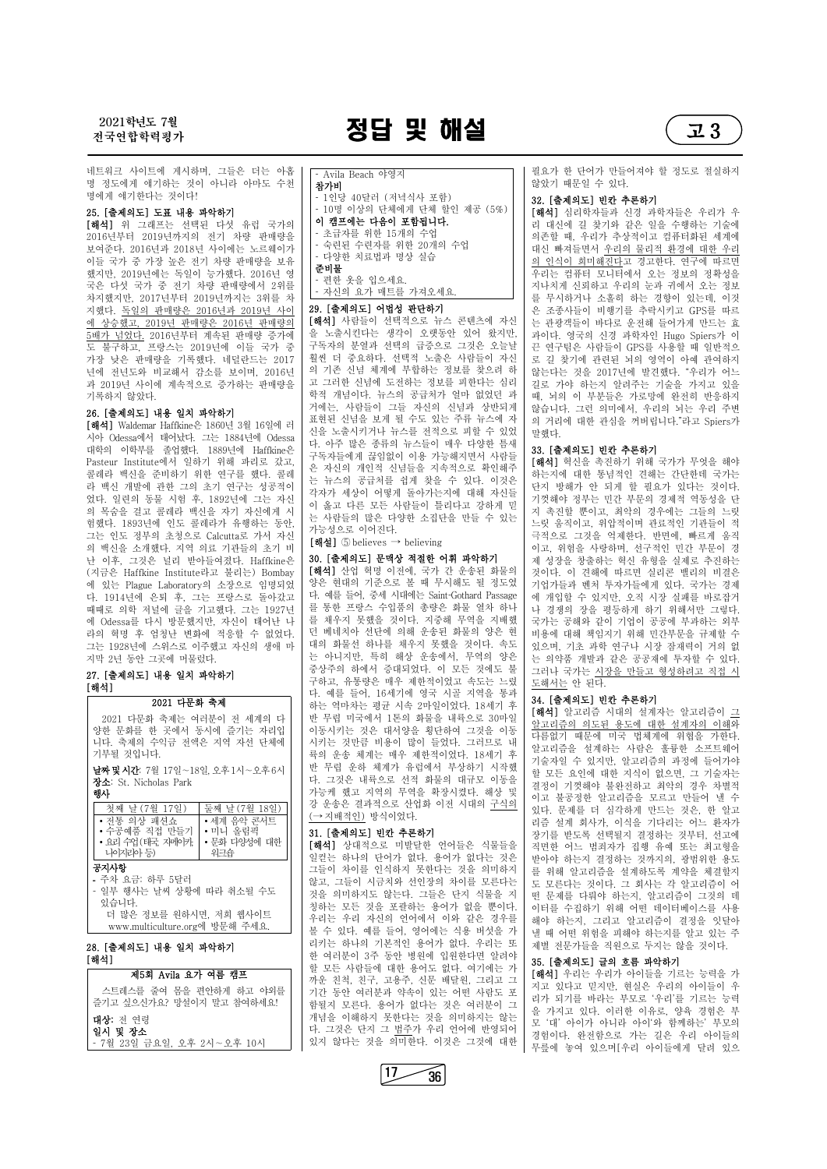전국연합학력평가 정답 및 해설 고 3



[해석] 위 그래프는 선택된 다섯 유럽 국가의 2016년부터 2019년까지의 전기 차량 판매량을 보여준다. 2016년과 2018년 사이에는 노르웨이가 이들 국가 중 가장 높은 전기 차량 판매량을 보유 했지만, 2019년에는 독일이 능가했다. 2016년 영 국은 다섯 국가 중 전기 차량 판매량에서 2위를 차지했지만, 2017년부터 2019년까지는 3위를 차 지했다. 독일의 판매량은 2016년과 2019년 사이 <mark>에 상승했고, 2019년 판매량은 2016년 판매량의</mark> | **[해석]** 사람들이 선택적으로 뉴스 콘텐츠에 자신<br>5배가 넘었다. 2016년부터 계속되 판매량 증가에 | 을 노출시킨다는 생각이 오랫동안 있어 왔지만, 5배가 넘었다. 2016년부터 계속된 판매량 증가에 도 불구하고, 프랑스는 2019년에 이들 국가 중 가장 낮은 판매량을 기록했다. 네덜란드는 2017 년에 전년도와 비교해서 감소를 보이며, 2016년 과 2019년 사이에 계속적으로 증가하는 판매량을 기록하지 않았다.<br>**26. [출제의도] 내용 일치 파악하기** 

네트워크 사이트에 게시하며, 그들은 더는 아홉 명 정도에게 얘기하는 것이 아니라 아마도 수천 명에게 얘기한다는 것이다!

#### 25. [출제의도] 도표 내용 파악하기

[해석] Waldemar Haffkine은 1860년 3월 16일에 러 시아 Odessa에서 태어났다. 그는 1884년에 Odessa 대학의 이학부를 졸업했다. 1889년에 Haffkine은 Pasteur Institute에서 일하기 위해 파리로 갔고, 콜레라 백신을 준비하기 위한 연구를 했다. 콜레 라 백신 개발에 관한 그의 초기 연구는 성공적이 었다. 일련의 동물 시험 후, 1892년에 그는 자신 의 목숨을 걸고 콜레라 백신을 자기 자신에게 시 험했다. 1893년에 인도 콜레라가 유행하는 동안,<br>그는 인도 정부의 초청으로 Calcutta로 가서 자신 의 백신을 소개했다. 지역 의료 기관들의 초기 비 난 이후, 그것은 널리 받아들여졌다. Haffkine은 (지금은 Haffkine Institute라고 불리는) Bombay 에 있는 Plague Laboratory의 소장으로 임명되었 다. 1914년에 은퇴 후, 그는 프랑스로 돌아갔고 때때로 의학 저널에 글을 기고했다. 그는 1927년 에 Odessa를 다시 방문했지만, 자신이 태어난 나 라의 혁명 후 엄청난 변화에 적응할 수 없었다. 그는 1928년에 스위스로 이주했고 자신의 생애 마 지막 2년 동안 그곳에 머물렀다.

[해석] 산업 혁명 이전에, 국가 간 운송된 화물의 양은 현대의 기준으로 볼 때 무시해도 될 정도였 다. 예를 들어, 중세 시대에는 Saint-Gothard Passage 를 통한 프랑스 수입품의 총량은 화물 열차 하나 던 베네치아 선단에 의해 운송된 화물의 양은 현 대의 화물선 하나를 채우지 못했을 것이다. 속도 중상주의 하에서 증대되었다. 이 모든 것에도 불 구하고, 유통량은 매우 제한적이었고 속도는 느렸 다. 예를 들어, 16세기에 영국 시골 지역을 통과 하는 역마차는 평균 시속 2마일이었다. 18세기 후 반 무렵 미국에서 1톤의 화물을 내륙으로 30마일 시키는 것만큼 비용이 많이 들었다. 그러므로 내 륙의 운송 체계는 매우 제한적이었다. 18세기 후 반 무렵 운하 체계가 유럽에서 부상하기 시작했 다. 그것은 내륙으로 선적 화물의 대규모 이동을 가능케 했고 지역의 무역을 확장시켰다. 해상 및 강 운송은 결과적으로 산업화 이전 시대의 구식의 <u>= ↑ = ← = ← = ← = ← → 기배적인)</u>방식이었다.<br>• 세계 음악 콘서트 │ │ <u>(→ 지배적인)</u>방식이었다.

#### 27. [출제의도] 내용 일치 파악하기 [해석]

#### 29. [출제의도] 어법성 판단하기

•문화 다양성에 대한││ | [해석] 상대적으로 미발달한 언어들은 식물들을 │ <sub>직도</sub> 일컫는 하나의 단어가 없다. 용어가 없다는 것은 그들이 차이를 인식하지 못한다는 것을 의미하지 않고, 그들이 시금치와 선인장의 차이를 모른다는

필요가 한 단어가 만들어져야 할 정도로 절실하지 않았기 때문일 수 있다.<br>32. [출제의도] 빈칸 추론하기

[해석] 사람들이 선택적으로 뉴스 콘텐츠에 자신 구독자의 분열과 선택의 급증으로 그것은 오늘날 훨씬 더 중요하다. 선택적 노출은 사람들이 자신 의 기존 신념 체계에 부합하는 정보를 찾으려 하 고 그러한 신념에 도전하는 정보를 피한다는 심리 학적 개념이다. 뉴스의 공급처가 얼마 없었던 과 거에는, 사람들이 그들 자신의 신념과 상반되게 표현된 신념을 보게 될 수도 있는 주류 뉴스에 자 신을 노출시키거나 뉴스를 전적으로 피할 수 있었 | 말했다. 다. 아주 많은 종류의 뉴스들이 매우 다양한 틈새 구독자들에게 끊임없이 이용 가능해지면서 사람들 은 자신의 개인적 신념들을 지속적으로 확인해주 는 뉴스의 공급처를 쉽게 찾을 수 있다. 이것은 \_ 이른자가 매한 허용하고 진해는 원한한데 확기된<br>강경권 생성이 이렇게 동성감노경센 맹행 경성들 \_ 단지 방해가 안 되게 할 필요가 있다는 것이다. 각자가 세상이 어떻게 돌아가는지에 대해 자신들 이 옳고 다른 모든 사람들이 틀리다고 강하게 믿 는 사람들의 많은 다양한 소집단을 만들 수 있는 가능성으로 이어진다.

 $[\nabla \cdot \mathbf{d}]$  ⑤ believes  $\rightarrow$  believing

#### 30. [출제의도] 문맥상 적절한 어휘 파악하기

를 채우지 못했을 것이다. 지중해 무역을 지배했 | 국가는 공해와 같이 기업이 공공에 부과하는 외부 는 아니지만, 특히 해상 운송에서, 무역의 양은 | 는 의약품 개발과 같은 공공재에 투자할 수 있다. [해석] 혁신을 촉진하기 위해 국가가 무엇을 해야 하는지에 대한 통념적인 견해는 간단한데 국가는 기껏해야 정부는 민간 부문의 경제적 역동성을 단 지 촉진할 뿐이고, 최악의 경우에는 그들의 느릿 느릿 움직이고, 위압적이며 관료적인 기관들이 적 극적으로 그것을 억제한다. 반면에, 빠르게 움직 이고, 위험을 사랑하며, 선구적인 민간 부문이 경 제 성장을 창출하는 혁신 유형을 실제로 추진하는 것이다. 이 견해에 따르면 실리콘 밸리의 비결은 기업가들과 벤처 투자가들에게 있다. 국가는 경제 에 개입할 수 있지만, 오직 시장 실패를 바로잡거 나 경쟁의 장을 평등하게 하기 위해서만 그렇다. 비용에 대해 책임지기 위해 민간부문을 규제할 수 있으며, 기초 과학 연구나 시장 잠재력이 거의 없 그러나 국가는 시장을 만들고 형성하려고 직접 시 도해서는 안 된다.

이동시키는 것은 대서양을 횡단하여 그것을 이동 | <u>르프니ロ의 의도된 중소개 대한 클게시의 기에</u>의<br>시키는 김민국 법용상 많이 들었다. 그리므클 낸 | 다름없기 때문에 미국 법체계에 위협을 가한다. [해석] 알고리즘 시대의 설계자는 알고리즘이 그 알고리즘의 의도된 용도에 대한 설계자의 이해와 알고리즘을 설계하는 사람은 훌륭한 소프트웨어 기술자일 수 있지만, 알고리즘의 과정에 들어가야 할 모든 요인에 대한 지식이 없으면, 그 기술자는 결정이 기껏해야 불완전하고 최악의 경우 차별적 이고 불공정한 알고리즘을 모르고 만들어 낼 수 있다. 문제를 더 심각하게 만드는 것은, 한 알고 리즘 설계 회사가, 이식을 기다리는 어느 환자가 장기를 받도록 선택될지 결정하는 것부터, 선고에 직면한 어느 범죄자가 집행 유예 또는 최고형을 받아야 하는지 결정하는 것까지의, 광범위한 용도 를 위해 알고리즘을 설계하도록 계약을 체결할지

[해석] 심리학자들과 신경 과학자들은 우리가 우 리 대신에 길 찾기와 같은 일을 수행하는 기술에 의존할 때, 우리가 추상적이고 컴퓨터화된 세계에 대신 빠져들면서 우리의 물리적 환경에 대한 우리 의 인식이 희미해진다고 경고한다. 연구에 따르면 우리는 컴퓨터 모니터에서 오는 정보의 정확성을 지나치게 신뢰하고 우리의 눈과 귀에서 오는 정보 를 무시하거나 소홀히 하는 경향이 있는데, 이것 은 조종사들이 비행기를 추락시키고 GPS를 따르 는 관광객들이 바다로 운전해 들어가게 만드는 효 과이다. 영국의 신경 과학자인 Hugo Spiers가 이 끈 연구팀은 사람들이 GPS를 사용할 때 일반적으 로 길 찾기에 관련된 뇌의 영역이 아예 관여하지 않는다는 것을 2017년에 발견했다. "우리가 어느 길로 가야 하는지 알려주는 기술을 가지고 있을 때, 뇌의 이 부분들은 가로망에 완전히 반응하지 않습니다. 그런 의미에서, 우리의 뇌는 우리 주변 의 거리에 대한 관심을 꺼버립니다."라고 Spiers가

#### 33. [출제의도] 빈칸 추론하기

| - ㅜ시 ㅛㅁ 아ㅜ Jㄹ니                                       | 않고, 그들이 시금지와 선인상의 자이들 모든나는                                   | 도 모른다는 것이다. 그 회사는 각 알고리즘이 어                                                              |
|------------------------------------------------------|--------------------------------------------------------------|------------------------------------------------------------------------------------------|
| - 일부 행사는 날씨 상황에 따라 취소될 수도                            | 것을 의미하지도 않는다. 그들은 단지 식물을 지                                   | 떤 문제를 다뤄야 하는지, 알고리즘이 그것의 데                                                               |
| 있습니다.                                                | 칭하는 모든 것을 포괄하는 용어가 없을 뿐이다.                                   | 이터를 수집하기 위해 어떤 데이터베이스를 사용                                                                |
| 더 많은 정보를 원하시면, 저희 웹사이트                               | 우리는 우리 자신의 언어에서 이와 같은 경우를                                    | 해야 하는지, 그리고 알고리즘이 결정을 잇달아                                                                |
| www.multiculture.org에 방문해 주세요.                       | 볼 수 있다. 예를 들어, 영어에는 식용 버섯을 가                                 | 낼 때 어떤 위험을 피해야 하는지를 알고 있는 주                                                              |
| 28. [출제의도] 내용 일치 파악하기                                | 리키는 하나의 기본적인 용어가 없다. 우리는 또                                   | 제별 전문가들을 직원으로 두지는 않을 것이다.                                                                |
| [해석]                                                 | 한 여러분이 3주 동안 병원에 입원한다면 알려야                                   | 35. [출제의도] 글의 흐름 파악하기                                                                    |
| 제5회 Avila 요가 여름 캠프                                   | 할 모든 사람들에 대한 용어도 없다. 여기에는 가<br>까운 친척, 친구, 고용주, 신문 배달원, 그리고 그 | [해석] 우리는 우리가 아이들을 기르는 능력을 가                                                              |
| 스트레스를 줄여 몸을 편안하게 하고 야외를<br>즐기고 싶으신가요? 망설이지 말고 참여하세요! | 기간 동안 여러분과 약속이 있는 어떤 사람도 포<br>함될지 모른다. 용어가 없다는 것은 여러분이 그     | 지고 있다고 믿지만, 현실은 우리의 아이들이 우<br>리가 되기를 바라는 부모로 '우리'를 기르는 능력<br>을 가지고 있다. 이러한 이유로, 양육 경험은 부 |
| 대상: 전 연령                                             | 개념을 이해하지 못한다는 것을 의미하지는 않는                                    | 모 '대' 아이가 아니라 아이'와 함께하는' 부모의                                                             |
| 일시 및 장소                                              | 다. 그것은 단지 그 범주가 우리 언어에 반영되어                                  | 경험이다. 완전함으로 가는 길은 우리 아이들의                                                                |
| - 7월 23일 금요일, 오후 2시~오후 10시                           | 있지 않다는 것을 의미한다. 이것은 그것에 대한                                   | 무릎에 놓여 있으며[우리 아이들에게 달려 있으                                                                |

#### 31. [출제의도] 빈칸 추론하기 ∙ 미니 올림픽

#### 34. [출제의도] 빈칸 추론하기

#### 2021 다문화 축제

2021 다문화 축제는 여러분이 전 세계의 다 양한 문화를 한 곳에서 동시에 즐기는 자리입 니다. 축제의 수익금 전액은 지역 자선 단체에 기부될 것입니다.

날짜및시간: 7월 17일∼18일, 오후1시∼오후6시 장소: St. Nicholas Park

#### 행사

| 날 (7월 17일)<br>첫째   | 날(7월 18일)<br>둘째 | 강  |
|--------------------|-----------------|----|
| • 전통 의상 패션쇼        | • 세계 음악 콘서트     |    |
| • 수공예품 직접 만들기      | 올림픽<br>• 미니     | 31 |
| • 요리 수업 (태국, 자메이카, | • 문화 다양성에<br>대한 | ්  |
| 나아라아 등)            | 워크숍             | 일  |
| 공지사항               |                 |    |

#### **-** 주차 요금: 하루 5달러

 Avila Beach 야영지 참가비 1인당 40달러 (저녁식사 포함) 10명 이상의 단체에게 단체 할인 제공 (5%) 이 캠프에는 다음이 포함됩니다. 초급자를 위한 15개의 수업 숙련된 수련자를 위한 20개의 수업 다양한 치료법과 명상 실습 준비물 편한 옷을 입으세요. 자신의 요가 매트를 가져오세요.